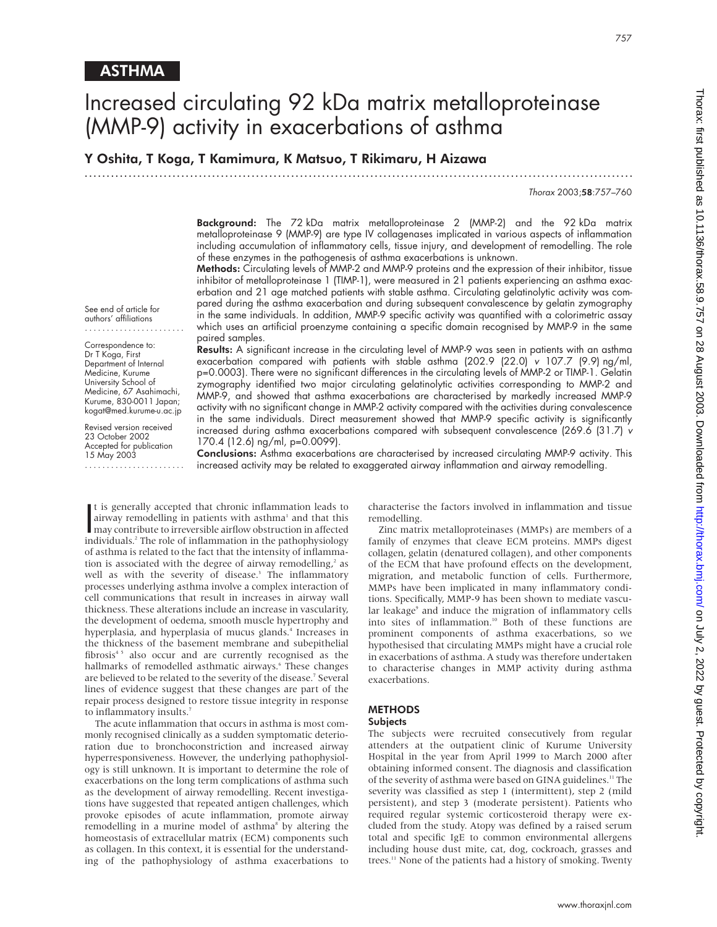See end of article for authors' affiliations

Correspondence to: Dr T Koga, First Department of Internal Medicine, Kurume University School of Medicine, 67 Asahimachi, Kurume, 830-0011 Japan; kogat@med.kurume-u.ac.jp Revised version received 23 October 2002 Accepted for publication 15 May 2003 .......................

# Increased circulating 92 kDa matrix metalloproteinase (MMP-9) activity in exacerbations of asthma

Y Oshita, T Koga, T Kamimura, K Matsuo, T Rikimaru, H Aizawa

.............................................................................................................................

Thorax 2003;58:757–760

Background: The 72 kDa matrix metalloproteinase 2 (MMP-2) and the 92 kDa matrix metalloproteinase 9 (MMP-9) are type IV collagenases implicated in various aspects of inflammation including accumulation of inflammatory cells, tissue injury, and development of remodelling. The role of these enzymes in the pathogenesis of asthma exacerbations is unknown.

Methods: Circulating levels of MMP-2 and MMP-9 proteins and the expression of their inhibitor, tissue inhibitor of metalloproteinase 1 (TIMP-1), were measured in 21 patients experiencing an asthma exacerbation and 21 age matched patients with stable asthma. Circulating gelatinolytic activity was compared during the asthma exacerbation and during subsequent convalescence by gelatin zymography in the same individuals. In addition, MMP-9 specific activity was quantified with a colorimetric assay which uses an artificial proenzyme containing a specific domain recognised by MMP-9 in the same paired samples.

Results: A significant increase in the circulating level of MMP-9 was seen in patients with an asthma exacerbation compared with patients with stable asthma (202.9 (22.0) v 107.7 (9.9) ng/ml, p=0.0003). There were no significant differences in the circulating levels of MMP-2 or TIMP-1. Gelatin zymography identified two major circulating gelatinolytic activities corresponding to MMP-2 and MMP-9, and showed that asthma exacerbations are characterised by markedly increased MMP-9 activity with no significant change in MMP-2 activity compared with the activities during convalescence in the same individuals. Direct measurement showed that MMP-9 specific activity is significantly increased during asthma exacerbations compared with subsequent convalescence (269.6 (31.7) v 170.4 (12.6) ng/ml, p=0.0099).

Conclusions: Asthma exacerbations are characterised by increased circulating MMP-9 activity. This increased activity may be related to exaggerated airway inflammation and airway remodelling.

It is generally accepted that chronic inflammation leads to<br>airway remodelling in patients with asthma' and that this<br>may contribute to irreversible airflow obstruction in affected<br>individuals<sup>2</sup>. The role of inflammation t is generally accepted that chronic inflammation leads to airway remodelling in patients with asthma<sup>1</sup> and that this individuals.<sup>2</sup> The role of inflammation in the pathophysiology of asthma is related to the fact that the intensity of inflammation is associated with the degree of airway remodelling, $\lambda^2$  as well as with the severity of disease.<sup>3</sup> The inflammatory processes underlying asthma involve a complex interaction of cell communications that result in increases in airway wall thickness. These alterations include an increase in vascularity, the development of oedema, smooth muscle hypertrophy and hyperplasia, and hyperplasia of mucus glands.<sup>4</sup> Increases in the thickness of the basement membrane and subepithelial fibrosis<sup>45</sup> also occur and are currently recognised as the hallmarks of remodelled asthmatic airways.<sup>6</sup> These changes are believed to be related to the severity of the disease.<sup>7</sup> Several lines of evidence suggest that these changes are part of the repair process designed to restore tissue integrity in response to inflammatory insults.<sup>7</sup>

The acute inflammation that occurs in asthma is most commonly recognised clinically as a sudden symptomatic deterioration due to bronchoconstriction and increased airway hyperresponsiveness. However, the underlying pathophysiology is still unknown. It is important to determine the role of exacerbations on the long term complications of asthma such as the development of airway remodelling. Recent investigations have suggested that repeated antigen challenges, which provoke episodes of acute inflammation, promote airway remodelling in a murine model of asthma<sup>8</sup> by altering the homeostasis of extracellular matrix (ECM) components such as collagen. In this context, it is essential for the understanding of the pathophysiology of asthma exacerbations to

characterise the factors involved in inflammation and tissue remodelling.

Zinc matrix metalloproteinases (MMPs) are members of a family of enzymes that cleave ECM proteins. MMPs digest collagen, gelatin (denatured collagen), and other components of the ECM that have profound effects on the development, migration, and metabolic function of cells. Furthermore, MMPs have been implicated in many inflammatory conditions. Specifically, MMP-9 has been shown to mediate vascular leakage<sup>9</sup> and induce the migration of inflammatory cells into sites of inflammation.<sup>10</sup> Both of these functions are prominent components of asthma exacerbations, so we hypothesised that circulating MMPs might have a crucial role in exacerbations of asthma. A study was therefore undertaken to characterise changes in MMP activity during asthma exacerbations.

## METHODS

### **Subjects**

The subjects were recruited consecutively from regular attenders at the outpatient clinic of Kurume University Hospital in the year from April 1999 to March 2000 after obtaining informed consent. The diagnosis and classification of the severity of asthma were based on GINA guidelines.<sup>11</sup> The severity was classified as step 1 (intermittent), step 2 (mild persistent), and step 3 (moderate persistent). Patients who required regular systemic corticosteroid therapy were excluded from the study. Atopy was defined by a raised serum total and specific IgE to common environmental allergens including house dust mite, cat, dog, cockroach, grasses and trees.<sup>11</sup> None of the patients had a history of smoking. Twenty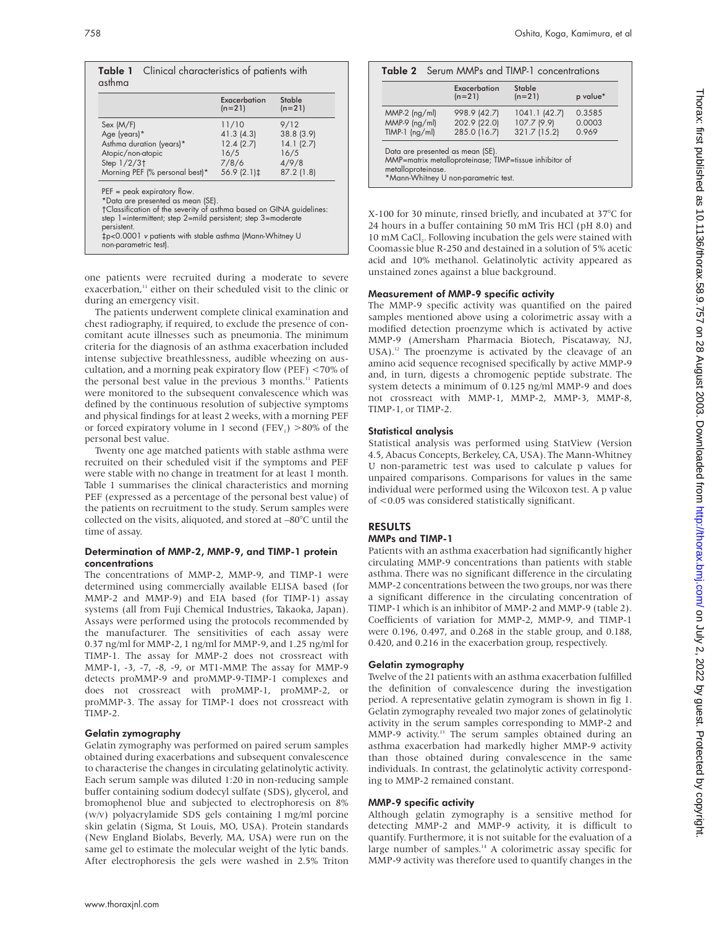|                                                                                                                                                                                                                                                                                                              | Exacerbation<br>$(n=21)$ | <b>Stable</b><br>$(n=21)$ |
|--------------------------------------------------------------------------------------------------------------------------------------------------------------------------------------------------------------------------------------------------------------------------------------------------------------|--------------------------|---------------------------|
| Sex (M/F)                                                                                                                                                                                                                                                                                                    | 11/10                    | 9/12                      |
| Age (years)*                                                                                                                                                                                                                                                                                                 | 41.3(4.3)                | 38.8 (3.9)                |
| Asthma duration (years)*                                                                                                                                                                                                                                                                                     | 12.4(2.7)                | 14.1(2.7)                 |
| Atopic/non-atopic                                                                                                                                                                                                                                                                                            | 16/5                     | 16/5                      |
| Step $1/2/3$ <sup>+</sup>                                                                                                                                                                                                                                                                                    | 7/8/6                    | 4/9/8                     |
| Morning PEF (% personal best)*                                                                                                                                                                                                                                                                               | 56.9 (2.1) ‡             | 87.2(1.8)                 |
| $PEF = peak$ expiratory flow.<br>*Data are presented as mean (SE).<br>†Classification of the severity of asthma based on GINA guidelines:<br>step 1=intermittent; step 2=mild persistent; step 3=moderate<br>persistent.<br>‡p<0.0001 v patients with stable asthma (Mann-Whitney U<br>non-parametric test). |                          |                           |

one patients were recruited during a moderate to severe exacerbation,<sup>11</sup> either on their scheduled visit to the clinic or during an emergency visit.

The patients underwent complete clinical examination and chest radiography, if required, to exclude the presence of concomitant acute illnesses such as pneumonia. The minimum criteria for the diagnosis of an asthma exacerbation included intense subjective breathlessness, audible wheezing on auscultation, and a morning peak expiratory flow (PEF) <70% of the personal best value in the previous 3 months.<sup>11</sup> Patients were monitored to the subsequent convalescence which was defined by the continuous resolution of subjective symptoms and physical findings for at least 2 weeks, with a morning PEF or forced expiratory volume in 1 second (FEV<sub>1</sub>)  $>80\%$  of the personal best value.

Twenty one age matched patients with stable asthma were recruited on their scheduled visit if the symptoms and PEF were stable with no change in treatment for at least 1 month. Table 1 summarises the clinical characteristics and morning PEF (expressed as a percentage of the personal best value) of the patients on recruitment to the study. Serum samples were collected on the visits, aliquoted, and stored at –80°C until the time of assay.

#### Determination of MMP-2, MMP-9, and TIMP-1 protein concentrations

The concentrations of MMP-2, MMP-9, and TIMP-1 were determined using commercially available ELISA based (for MMP-2 and MMP-9) and EIA based (for TIMP-1) assay systems (all from Fuji Chemical Industries, Takaoka, Japan). Assays were performed using the protocols recommended by the manufacturer. The sensitivities of each assay were 0.37 ng/ml for MMP-2, 1 ng/ml for MMP-9, and 1.25 ng/ml for TIMP-1. The assay for MMP-2 does not crossreact with MMP-1, -3, -7, -8, -9, or MT1-MMP. The assay for MMP-9 detects proMMP-9 and proMMP-9-TIMP-1 complexes and does not crossreact with proMMP-1, proMMP-2, or proMMP-3. The assay for TIMP-1 does not crossreact with TIMP-2.

#### Gelatin zymography

Gelatin zymography was performed on paired serum samples obtained during exacerbations and subsequent convalescence to characterise the changes in circulating gelatinolytic activity. Each serum sample was diluted 1:20 in non-reducing sample buffer containing sodium dodecyl sulfate (SDS), glycerol, and bromophenol blue and subjected to electrophoresis on 8% (w/v) polyacrylamide SDS gels containing 1 mg/ml porcine skin gelatin (Sigma, St Louis, MO, USA). Protein standards (New England Biolabs, Beverly, MA, USA) were run on the same gel to estimate the molecular weight of the lytic bands. After electrophoresis the gels were washed in 2.5% Triton

|                  | <b>Table 2</b> Serum MMPs and TIMP-1 concentrations<br>Exacerbation<br>Stable |               |          |
|------------------|-------------------------------------------------------------------------------|---------------|----------|
|                  | $(n=21)$                                                                      | $(n=21)$      | p value* |
| $MMP-2$ (ng/ml)  | 998.9 (42.7)                                                                  | 1041.1 (42.7) | 0.3585   |
| $MMP-9$ (ng/ml)  | 202.9 (22.0)                                                                  | 107.7 (9.9)   | 0.0003   |
| $TIMP-1$ (ng/ml) | 285.0 (16.7)                                                                  | 321.7 (15.2)  | 0.969    |

X-100 for 30 minute, rinsed briefly, and incubated at 37°C for 24 hours in a buffer containing 50 mM Tris HCl (pH 8.0) and 10 mM CaCl<sub>2</sub>. Following incubation the gels were stained with Coomassie blue R-250 and destained in a solution of 5% acetic acid and 10% methanol. Gelatinolytic activity appeared as unstained zones against a blue background.

#### Measurement of MMP-9 specific activity

The MMP-9 specific activity was quantified on the paired samples mentioned above using a colorimetric assay with a modified detection proenzyme which is activated by active MMP-9 (Amersham Pharmacia Biotech, Piscataway, NJ, USA).<sup>12</sup> The proenzyme is activated by the cleavage of an amino acid sequence recognised specifically by active MMP-9 and, in turn, digests a chromogenic peptide substrate. The system detects a minimum of 0.125 ng/ml MMP-9 and does not crossreact with MMP-1, MMP-2, MMP-3, MMP-8, TIMP-1, or TIMP-2.

#### Statistical analysis

Statistical analysis was performed using StatView (Version 4.5, Abacus Concepts, Berkeley, CA, USA). The Mann-Whitney U non-parametric test was used to calculate p values for unpaired comparisons. Comparisons for values in the same individual were performed using the Wilcoxon test. A p value of <0.05 was considered statistically significant.

# RESULTS

#### MMPs and TIMP-1

Patients with an asthma exacerbation had significantly higher circulating MMP-9 concentrations than patients with stable asthma. There was no significant difference in the circulating MMP-2 concentrations between the two groups, nor was there a significant difference in the circulating concentration of TIMP-1 which is an inhibitor of MMP-2 and MMP-9 (table 2). Coefficients of variation for MMP-2, MMP-9, and TIMP-1 were 0.196, 0.497, and 0.268 in the stable group, and 0.188, 0.420, and 0.216 in the exacerbation group, respectively.

#### Gelatin zymography

Twelve of the 21 patients with an asthma exacerbation fulfilled the definition of convalescence during the investigation period. A representative gelatin zymogram is shown in fig 1. Gelatin zymography revealed two major zones of gelatinolytic activity in the serum samples corresponding to MMP-2 and MMP-9 activity.<sup>13</sup> The serum samples obtained during an asthma exacerbation had markedly higher MMP-9 activity than those obtained during convalescence in the same individuals. In contrast, the gelatinolytic activity corresponding to MMP-2 remained constant.

#### MMP-9 specific activity

Although gelatin zymography is a sensitive method for detecting MMP-2 and MMP-9 activity, it is difficult to quantify. Furthermore, it is not suitable for the evaluation of a large number of samples.<sup>14</sup> A colorimetric assay specific for MMP-9 activity was therefore used to quantify changes in the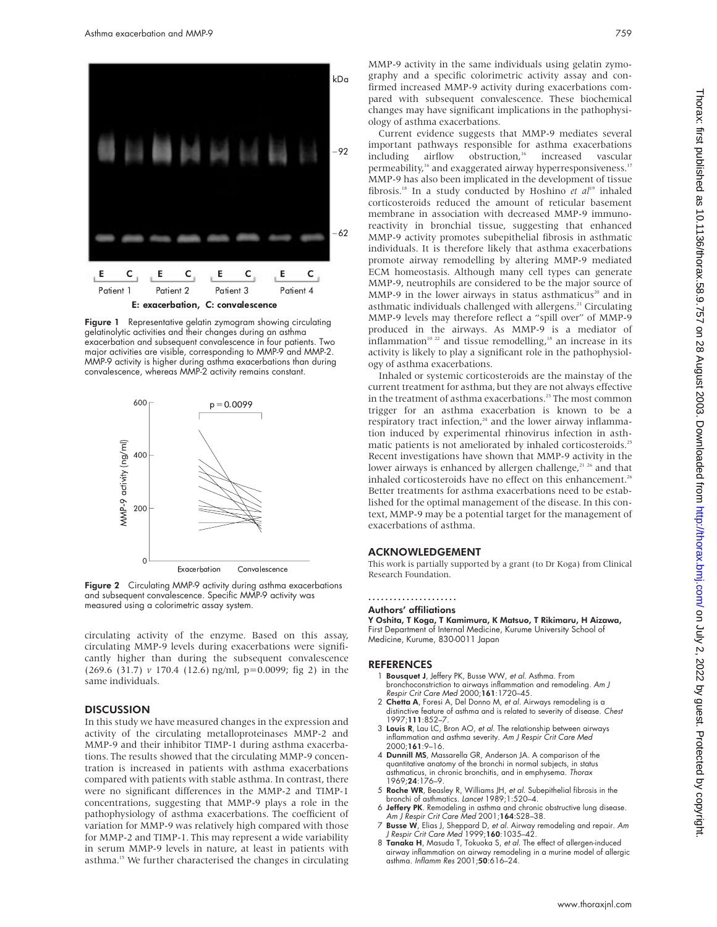

**Figure 1** Representative gelatin zymogram showing circulating gelatinolytic activities and their changes during an asthma exacerbation and subsequent convalescence in four patients. Two major activities are visible, corresponding to MMP-9 and MMP-2. MMP-9 activity is higher during asthma exacerbations than during convalescence, whereas MMP-2 activity remains constant.



Figure 2 Circulating MMP-9 activity during asthma exacerbations and subsequent convalescence. Specific MMP-9 activity was measured using a colorimetric assay system.

circulating activity of the enzyme. Based on this assay, circulating MMP-9 levels during exacerbations were significantly higher than during the subsequent convalescence (269.6 (31.7) *v* 170.4 (12.6) ng/ml, p=0.0099; fig 2) in the same individuals.

#### **DISCUSSION**

In this study we have measured changes in the expression and activity of the circulating metalloproteinases MMP-2 and MMP-9 and their inhibitor TIMP-1 during asthma exacerbations. The results showed that the circulating MMP-9 concentration is increased in patients with asthma exacerbations compared with patients with stable asthma. In contrast, there were no significant differences in the MMP-2 and TIMP-1 concentrations, suggesting that MMP-9 plays a role in the pathophysiology of asthma exacerbations. The coefficient of variation for MMP-9 was relatively high compared with those for MMP-2 and TIMP-1. This may represent a wide variability in serum MMP-9 levels in nature, at least in patients with asthma.<sup>15</sup> We further characterised the changes in circulating

MMP-9 activity in the same individuals using gelatin zymography and a specific colorimetric activity assay and confirmed increased MMP-9 activity during exacerbations compared with subsequent convalescence. These biochemical changes may have significant implications in the pathophysiology of asthma exacerbations.

Current evidence suggests that MMP-9 mediates several important pathways responsible for asthma exacerbations including airflow obstruction,<sup>16</sup> increased vascular permeability,<sup>16</sup> and exaggerated airway hyperresponsiveness.<sup>17</sup> MMP-9 has also been implicated in the development of tissue fibrosis.<sup>18</sup> In a study conducted by Hoshino *et al*<sup>19</sup> inhaled corticosteroids reduced the amount of reticular basement membrane in association with decreased MMP-9 immunoreactivity in bronchial tissue, suggesting that enhanced MMP-9 activity promotes subepithelial fibrosis in asthmatic individuals. It is therefore likely that asthma exacerbations promote airway remodelling by altering MMP-9 mediated ECM homeostasis. Although many cell types can generate MMP-9, neutrophils are considered to be the major source of MMP-9 in the lower airways in status asthmaticus<sup>20</sup> and in asthmatic individuals challenged with allergens.<sup>21</sup> Circulating MMP-9 levels may therefore reflect a "spill over" of MMP-9 produced in the airways. As MMP-9 is a mediator of inflammation<sup>10 22</sup> and tissue remodelling,<sup>18</sup> an increase in its activity is likely to play a significant role in the pathophysiology of asthma exacerbations.

Inhaled or systemic corticosteroids are the mainstay of the current treatment for asthma, but they are not always effective in the treatment of asthma exacerbations.<sup>23</sup> The most common trigger for an asthma exacerbation is known to be a respiratory tract infection, $24$  and the lower airway inflammation induced by experimental rhinovirus infection in asthmatic patients is not ameliorated by inhaled corticosteroids.<sup>25</sup> Recent investigations have shown that MMP-9 activity in the lower airways is enhanced by allergen challenge,<sup>21 26</sup> and that inhaled corticosteroids have no effect on this enhancement.<sup>26</sup> Better treatments for asthma exacerbations need to be established for the optimal management of the disease. In this context, MMP-9 may be a potential target for the management of exacerbations of asthma.

#### ACKNOWLEDGEMENT

This work is partially supported by a grant (to Dr Koga) from Clinical Research Foundation.

#### .....................

Authors' affiliations

Y Oshita, T Koga, T Kamimura, K Matsuo, T Rikimaru, H Aizawa, First Department of Internal Medicine, Kurume University School of Medicine, Kurume, 830-0011 Japan

#### REFERENCES

- 1 Bousquet J, Jeffery PK, Busse WW, et al. Asthma. From bronchoconstriction to airways inflammation and remodeling. Am J Respir Crit Care Med 2000;161:1720-45.
- 2 Chetta A, Foresi A, Del Donno M, et al. Airways remodeling is a distinctive feature of asthma and is related to severity of disease. Chest 1997;111:852–7.
- 3 Louis R, Lau LC, Bron AO, et al. The relationship between airways inflammation and asthma severity. Am J Respir Crit Care Med 2000;161:9–16.
- 4 Dunnill MS, Massarella GR, Anderson JA. A comparison of the quantitative anatomy of the bronchi in normal subjects, in status asthmaticus, in chronic bronchitis, and in emphysema. Thorax 1969;24:176–9.
- 5 Roche WR, Beasley R, Williams JH, et al. Subepithelial fibrosis in the bronchi of asthmatics. Lancet 1989;1:520–4.
- 6 Jeffery PK. Remodeling in asthma and chronic obstructive lung disease. Am J Respir Crit Care Med 2001;164:S28–38.
- 7 Busse W, Elias J, Sheppard D, et al. Airway remodeling and repair. Am J Respir Crit Care Med 1999;160:1035–42.
- 8 Tanaka H, Masuda T, Tokuoka S, et al. The effect of allergen-induced airway inflammation on airway remodeling in a murine model of allergic asthma. Inflamm Res 2001;50:616–24.